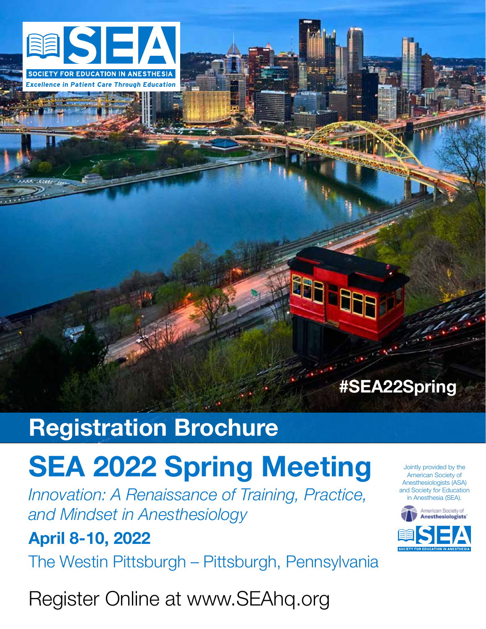

**Excellence in Patient Care Through Education** 

### **#SEA22Spring**

881 882

### **Registration Brochure**

# **SEA 2022 Spring Meeting**

*Innovation: A Renaissance of Training, Practice, and Mindset in Anesthesiology*

### **April 8-10, 2022**

The Westin Pittsburgh – Pittsburgh, Pennsylvania

Register Online at www.SEAhq.org

Jointly provided by the American Society of Anesthesiologists (ASA) and Society for Education in Anesthesia (SEA).

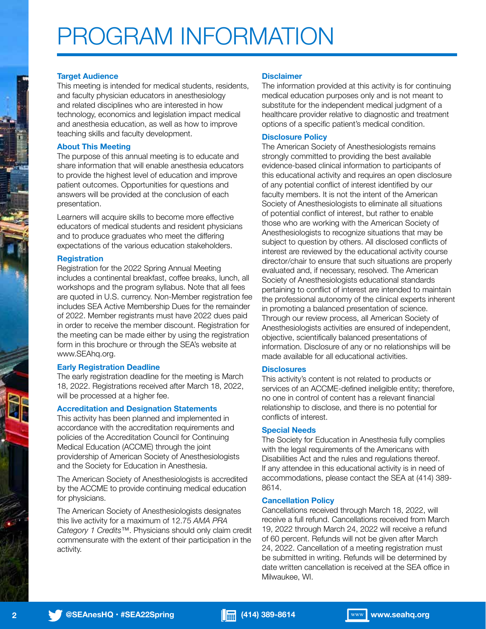## PROGRAM INFORMATION

### **Target Audience**

This meeting is intended for medical students, residents, and faculty physician educators in anesthesiology and related disciplines who are interested in how technology, economics and legislation impact medical and anesthesia education, as well as how to improve teaching skills and faculty development.

### **About This Meeting**

The purpose of this annual meeting is to educate and share information that will enable anesthesia educators to provide the highest level of education and improve patient outcomes. Opportunities for questions and answers will be provided at the conclusion of each presentation.

Learners will acquire skills to become more effective educators of medical students and resident physicians and to produce graduates who meet the differing expectations of the various education stakeholders.

### **Registration**

Registration for the 2022 Spring Annual Meeting includes a continental breakfast, coffee breaks, lunch, all workshops and the program syllabus. Note that all fees are quoted in U.S. currency. Non-Member registration fee includes SEA Active Membership Dues for the remainder of 2022. Member registrants must have 2022 dues paid in order to receive the member discount. Registration for the meeting can be made either by using the registration form in this brochure or through the SEA's website at www.SEAhq.org.

### **Early Registration Deadline**

The early registration deadline for the meeting is March 18, 2022. Registrations received after March 18, 2022, will be processed at a higher fee.

### **Accreditation and Designation Statements**

This activity has been planned and implemented in accordance with the accreditation requirements and policies of the Accreditation Council for Continuing Medical Education (ACCME) through the joint providership of American Society of Anesthesiologists and the Society for Education in Anesthesia.

The American Society of Anesthesiologists is accredited by the ACCME to provide continuing medical education for physicians.

The American Society of Anesthesiologists designates this live activity for a maximum of 12.75 *AMA PRA Category 1 Credits*™. Physicians should only claim credit commensurate with the extent of their participation in the activity.

### **Disclaimer**

The information provided at this activity is for continuing medical education purposes only and is not meant to substitute for the independent medical judgment of a healthcare provider relative to diagnostic and treatment options of a specific patient's medical condition.

### **Disclosure Policy**

The American Society of Anesthesiologists remains strongly committed to providing the best available evidence-based clinical information to participants of this educational activity and requires an open disclosure of any potential conflict of interest identified by our faculty members. It is not the intent of the American Society of Anesthesiologists to eliminate all situations of potential conflict of interest, but rather to enable those who are working with the American Society of Anesthesiologists to recognize situations that may be subject to question by others. All disclosed conflicts of interest are reviewed by the educational activity course director/chair to ensure that such situations are properly evaluated and, if necessary, resolved. The American Society of Anesthesiologists educational standards pertaining to conflict of interest are intended to maintain the professional autonomy of the clinical experts inherent in promoting a balanced presentation of science. Through our review process, all American Society of Anesthesiologists activities are ensured of independent, objective, scientifically balanced presentations of information. Disclosure of any or no relationships will be made available for all educational activities.

### **Disclosures**

This activity's content is not related to products or services of an ACCME-defined ineligible entity; therefore, no one in control of content has a relevant financial relationship to disclose, and there is no potential for conflicts of interest.

### **Special Needs**

The Society for Education in Anesthesia fully complies with the legal requirements of the Americans with Disabilities Act and the rules and regulations thereof. If any attendee in this educational activity is in need of accommodations, please contact the SEA at (414) 389- 8614.

### **Cancellation Policy**

Cancellations received through March 18, 2022, will receive a full refund. Cancellations received from March 19, 2022 through March 24, 2022 will receive a refund of 60 percent. Refunds will not be given after March 24, 2022. Cancellation of a meeting registration must be submitted in writing. Refunds will be determined by date written cancellation is received at the SEA office in Milwaukee, WI.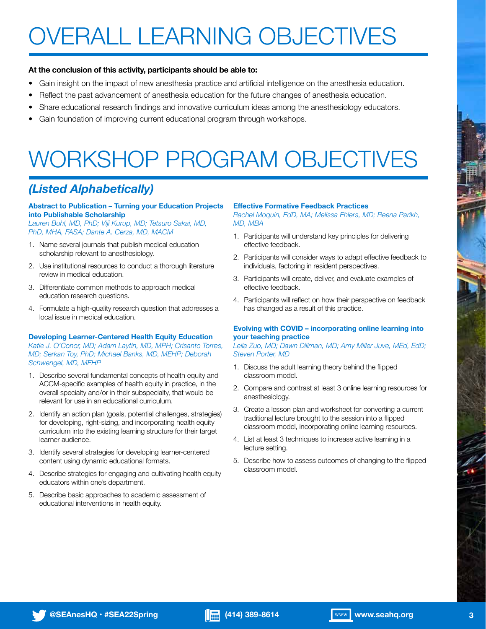# OVERALL LEARNING OBJECTIVES

### **At the conclusion of this activity, participants should be able to:**

- Gain insight on the impact of new anesthesia practice and artificial intelligence on the anesthesia education.
- Reflect the past advancement of anesthesia education for the future changes of anesthesia education.
- Share educational research findings and innovative curriculum ideas among the anesthesiology educators.
- Gain foundation of improving current educational program through workshops.

## WORKSHOP PROGRAM OBJECTIVES

### *(Listed Alphabetically)*

### **Abstract to Publication – Turning your Education Projects into Publishable Scholarship**

*Lauren Buhl, MD, PhD; Viji Kurup, MD; Tetsuro Sakai, MD, PhD, MHA, FASA; Dante A. Cerza, MD, MACM*

- 1. Name several journals that publish medical education scholarship relevant to anesthesiology.
- 2. Use institutional resources to conduct a thorough literature review in medical education.
- 3. Differentiate common methods to approach medical education research questions.
- 4. Formulate a high-quality research question that addresses a local issue in medical education.

### **Developing Learner-Centered Health Equity Education**

*Katie J. O'Conor, MD; Adam Laytin, MD, MPH; Crisanto Torres, MD; Serkan Toy, PhD; Michael Banks, MD, MEHP; Deborah Schwengel, MD, MEHP*

- 1. Describe several fundamental concepts of health equity and ACCM-specific examples of health equity in practice, in the overall specialty and/or in their subspecialty, that would be relevant for use in an educational curriculum.
- 2. Identify an action plan (goals, potential challenges, strategies) for developing, right-sizing, and incorporating health equity curriculum into the existing learning structure for their target learner audience.
- 3. Identify several strategies for developing learner-centered content using dynamic educational formats.
- 4. Describe strategies for engaging and cultivating health equity educators within one's department.
- 5. Describe basic approaches to academic assessment of educational interventions in health equity.

### **Effective Formative Feedback Practices**

*Rachel Moquin, EdD, MA; Melissa Ehlers, MD; Reena Parikh, MD, MBA*

- 1. Participants will understand key principles for delivering effective feedback.
- 2. Participants will consider ways to adapt effective feedback to individuals, factoring in resident perspectives.
- 3. Participants will create, deliver, and evaluate examples of effective feedback.
- 4. Participants will reflect on how their perspective on feedback has changed as a result of this practice.

### **Evolving with COVID – incorporating online learning into your teaching practice**

*Leila Zuo, MD; Dawn Dillman, MD; Amy Miller Juve, MEd, EdD; Steven Porter, MD*

- 1. Discuss the adult learning theory behind the flipped classroom model.
- 2. Compare and contrast at least 3 online learning resources for anesthesiology.
- 3. Create a lesson plan and worksheet for converting a current traditional lecture brought to the session into a flipped classroom model, incorporating online learning resources.
- 4. List at least 3 techniques to increase active learning in a lecture setting.
- 5. Describe how to assess outcomes of changing to the flipped classroom model.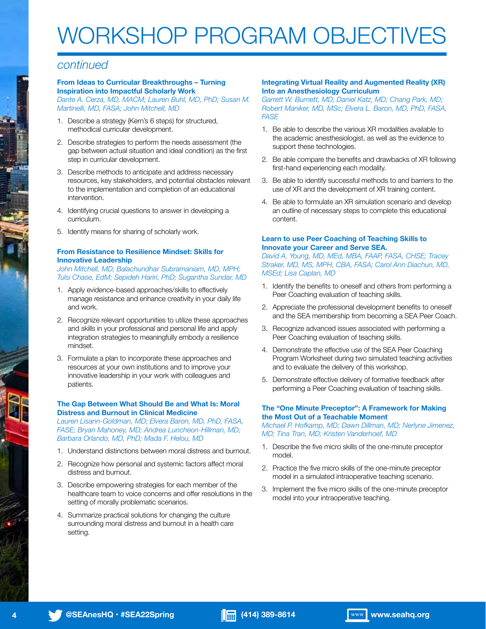## WORKSHOP PROGRAM OBJECTIVES

### *continued*

### **From Ideas to Curricular Breakthroughs – Turning Inspiration into Impactful Scholarly Work**

*Dante A. Cerza, MD, MACM; Lauren Buhl, MD, PhD; Susan M. Martinelli, MD, FASA; John Mitchell, MD*

- 1. Describe a strategy (Kern's 6 steps) for structured, methodical curricular development.
- 2. Describe strategies to perform the needs assessment (the gap between actual situation and ideal condition) as the first step in curricular development.
- 3. Describe methods to anticipate and address necessary resources, key stakeholders, and potential obstacles relevant to the implementation and completion of an educational intervention.
- 4. Identifying crucial questions to answer in developing a curriculum.
- 5. Identify means for sharing of scholarly work.

### **From Resistance to Resilience Mindset: Skills for Innovative Leadership**

*John Mitchell, MD; Balachundhar Subramaniam, MD, MPH; Tulsi Chase, EdM; Sepideh Hariri, PhD; Sugantha Sundar, MD*

- 1. Apply evidence-based approaches/skills to effectively manage resistance and enhance creativity in your daily life and work.
- 2. Recognize relevant opportunities to utilize these approaches and skills in your professional and personal life and apply integration strategies to meaningfully embody a resilience mindset.
- 3. Formulate a plan to incorporate these approaches and resources at your own institutions and to improve your innovative leadership in your work with colleagues and patients.

### **The Gap Between What Should Be and What Is: Moral Distress and Burnout in Clinical Medicine**

*Lauren Lisann-Goldman, MD; Elvera Baron, MD, PhD, FASA, FASE; Bryan Mahoney, MD; Andrea Luncheon-Hillman, MD; Barbara Orlando, MD, PhD; Mada F. Helou, MD*

- 1. Understand distinctions between moral distress and burnout.
- 2. Recognize how personal and systemic factors affect moral distress and burnout.
- 3. Describe empowering strategies for each member of the healthcare team to voice concerns and offer resolutions in the setting of morally problematic scenarios.
- 4. Summarize practical solutions for changing the culture surrounding moral distress and burnout in a health care setting.

### **Integrating Virtual Reality and Augmented Reality (XR) Into an Anesthesiology Curriculum**

*Garrett W. Burnett, MD; Daniel Katz, MD; Chang Park, MD; Robert Maniker, MD, MSc; Elvera L. Baron, MD, PhD, FASA, FASE*

- 1. Be able to describe the various XR modalities available to the academic anesthesiologist, as well as the evidence to support these technologies.
- 2. Be able compare the benefits and drawbacks of XR following first-hand experiencing each modality.
- 3. Be able to identify successful methods to and barriers to the use of XR and the development of XR training content.
- 4. Be able to formulate an XR simulation scenario and develop an outline of necessary steps to complete this educational content.

### **Learn to use Peer Coaching of Teaching Skills to Innovate your Career and Serve SEA.**

*David A. Young, MD, MEd, MBA, FAAP, FASA, CHSE; Tracey Straker, MD, MS, MPH, CBA, FASA; Carol Ann Diachun, MD, MSEd; Lisa Caplan, MD*

- 1. Identify the benefits to oneself and others from performing a Peer Coaching evaluation of teaching skills.
- 2. Appreciate the professional development benefits to oneself and the SEA membership from becoming a SEA Peer Coach.
- 3. Recognize advanced issues associated with performing a Peer Coaching evaluation of teaching skills.
- 4. Demonstrate the effective use of the SEA Peer Coaching Program Worksheet during two simulated teaching activities and to evaluate the delivery of this workshop.
- 5. Demonstrate effective delivery of formative feedback after performing a Peer Coaching evaluation of teaching skills.

### **The "One Minute Preceptor": A Framework for Making the Most Out of a Teachable Moment**

*Michael P. Hofkamp, MD; Dawn Dillman, MD; Nerlyne Jimenez, MD; Tina Tran, MD; Kristen Vanderhoef, MD*

- 1. Describe the five micro skills of the one-minute preceptor model.
- 2. Practice the five micro skills of the one-minute preceptor model in a simulated intraoperative teaching scenario.
- 3. Implement the five micro skills of the one-minute preceptor model into your intraoperative teaching.

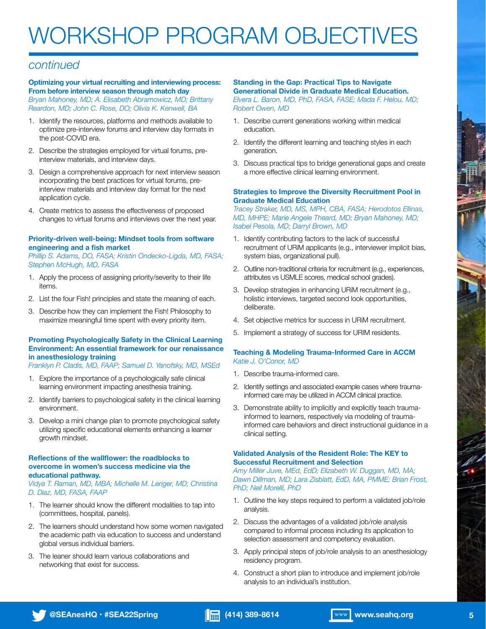## WORKSHOP PROGRAM OBJECTIVES

### *continued*

### **Optimizing your virtual recruiting and interviewing process: From before interview season through match day**

*Bryan Mahoney, MD; A. Elisabeth Abramowicz, MD; Brittany Reardon, MD; John C. Rose, DO; Olivia K. Kenwell, BA*

- 1. Identify the resources, platforms and methods available to optimize pre-interview forums and interview day formats in the post-COVID era.
- 2. Describe the strategies employed for virtual forums, preinterview materials, and interview days.
- 3. Design a comprehensive approach for next interview season incorporating the best practices for virtual forums, preinterview materials and interview day format for the next application cycle.
- 4. Create metrics to assess the effectiveness of proposed changes to virtual forums and interviews over the next year.

### **Priority-driven well-being: Mindset tools from software engineering and a fish market**

*Phillip S. Adams, DO, FASA; Kristin Ondecko-Ligda, MD, FASA; Stephen McHugh, MD, FASA*

- 1. Apply the process of assigning priority/severity to their life items.
- 2. List the four Fish! principles and state the meaning of each.
- 3. Describe how they can implement the Fish! Philosophy to maximize meaningful time spent with every priority item.

### **Promoting Psychologically Safety in the Clinical Learning Environment: An essential framework for our renaissance in anesthesiology training**

*Franklyn P. Cladis, MD, FAAP; Samuel D. Yanofsky, MD, MSEd*

- 1. Explore the importance of a psychologically safe clinical learning environment impacting anesthesia training.
- 2. Identify barriers to psychological safety in the clinical learning environment.
- 3. Develop a mini change plan to promote psychological safety utilizing specific educational elements enhancing a learner growth mindset.

### **Reflections of the wallflower: the roadblocks to overcome in women's success medicine via the educational pathway.**

*Vidya T. Raman, MD, MBA; Michelle M. Leriger, MD; Christina D. Diaz, MD, FASA, FAAP*

- 1. The learner should know the different modalities to tap into (committees, hospital, panels).
- 2. The learners should understand how some women navigated the academic path via education to success and understand global versus individual barriers.
- 3. The leaner should learn various collaborations and networking that exist for success.

### **Standing in the Gap: Practical Tips to Navigate**

**Generational Divide in Graduate Medical Education.**  *Elvera L. Baron, MD, PhD, FASA, FASE; Mada F. Helou, MD; Robert Owen, MD*

- 1. Describe current generations working within medical education.
- 2. Identify the different learning and teaching styles in each generation.
- 3. Discuss practical tips to bridge generational gaps and create a more effective clinical learning environment.

### **Strategies to Improve the Diversity Recruitment Pool in Graduate Medical Education**

*Tracey Straker, MD, MS, MPH, CBA, FASA; Herodotos Ellinas, MD, MHPE; Marie Angele Theard, MD; Bryan Mahoney, MD; Isabel Pesola, MD; Darryl Brown, MD*

- 1. Identify contributing factors to the lack of successful recruitment of URiM applicants (e.g., interviewer implicit bias, system bias, organizational pull).
- 2. Outline non-traditional criteria for recruitment (e.g., experiences, attributes vs USMLE scores, medical school grades).
- 3. Develop strategies in enhancing URiM recruitment (e.g., holistic interviews, targeted second look opportunities, deliberate.
- 4. Set objective metrics for success in URiM recruitment.
- 5. Implement a strategy of success for URIM residents.

### **Teaching & Modeling Trauma-Informed Care in ACCM** *Katie J. O'Conor, MD*

- 1. Describe trauma-informed care.
- 2. Identify settings and associated example cases where traumainformed care may be utilized in ACCM clinical practice.
- 3. Demonstrate ability to implicitly and explicitly teach traumainformed to learners, respectively via modeling of traumainformed care behaviors and direct instructional guidance in a clinical setting.

### **Validated Analysis of the Resident Role: The KEY to Successful Recruitment and Selection**

*Amy Miller Juve, MEd, EdD; Elizabeth W. Duggan, MD, MA; Dawn Dillman, MD; Lara Zisblatt, EdD, MA, PMME; Brian Frost, PhD; Neil Morelli, PhD*

- 1. Outline the key steps required to perform a validated job/role analysis.
- 2. Discuss the advantages of a validated job/role analysis compared to informal process including its application to selection assessment and competency evaluation.
- 3. Apply principal steps of job/role analysis to an anesthesiology residency program.
- 4. Construct a short plan to introduce and implement job/role analysis to an individual's institution.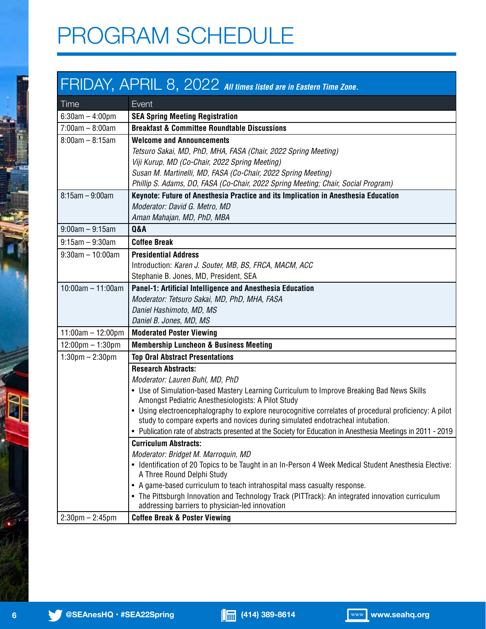## PROGRAM SCHEDULE

### FRIDAY, APRIL 8, 2022 *All times listed are in Eastern Time Zone.*

| Time                               | Event                                                                                                                                           |
|------------------------------------|-------------------------------------------------------------------------------------------------------------------------------------------------|
| $6:30$ am $-4:00$ pm               | <b>SEA Spring Meeting Registration</b>                                                                                                          |
| $7:00am - 8:00am$                  | <b>Breakfast &amp; Committee Roundtable Discussions</b>                                                                                         |
| $8:00am - 8:15am$                  | <b>Welcome and Announcements</b>                                                                                                                |
|                                    | Tetsuro Sakai, MD, PhD, MHA, FASA (Chair, 2022 Spring Meeting)                                                                                  |
|                                    | Viji Kurup, MD (Co-Chair, 2022 Spring Meeting)                                                                                                  |
|                                    | Susan M. Martinelli, MD, FASA (Co-Chair, 2022 Spring Meeting)                                                                                   |
|                                    | Phillip S. Adams, DO, FASA (Co-Chair, 2022 Spring Meeting; Chair, Social Program)                                                               |
| $8:15am - 9:00am$                  | Keynote: Future of Anesthesia Practice and its Implication in Anesthesia Education                                                              |
|                                    | Moderator: David G. Metro, MD<br>Aman Mahajan, MD, PhD, MBA                                                                                     |
| $9:00am - 9:15am$                  | <b>Q&amp;A</b>                                                                                                                                  |
| $9:15am - 9:30am$                  | <b>Coffee Break</b>                                                                                                                             |
| $9:30am - 10:00am$                 | <b>Presidential Address</b>                                                                                                                     |
|                                    | Introduction: Karen J. Souter, MB, BS, FRCA, MACM, ACC                                                                                          |
|                                    | Stephanie B. Jones, MD, President, SEA                                                                                                          |
| $10:00am - 11:00am$                | Panel-1: Artificial Intelligence and Anesthesia Education                                                                                       |
|                                    | Moderator: Tetsuro Sakai, MD, PhD, MHA, FASA                                                                                                    |
|                                    | Daniel Hashimoto, MD, MS                                                                                                                        |
|                                    | Daniel B. Jones, MD, MS                                                                                                                         |
| $11:00am - 12:00pm$                | <b>Moderated Poster Viewing</b>                                                                                                                 |
| $12:00 \text{pm} - 1:30 \text{pm}$ | <b>Membership Luncheon &amp; Business Meeting</b>                                                                                               |
| $1:30$ pm $- 2:30$ pm              | <b>Top Oral Abstract Presentations</b>                                                                                                          |
|                                    | <b>Research Abstracts:</b>                                                                                                                      |
|                                    | Moderator: Lauren Buhl, MD, PhD                                                                                                                 |
|                                    | • Use of Simulation-based Mastery Learning Curriculum to Improve Breaking Bad News Skills<br>Amongst Pediatric Anesthesiologists: A Pilot Study |
|                                    | • Using electroencephalography to explore neurocognitive correlates of procedural proficiency: A pilot                                          |
|                                    | study to compare experts and novices during simulated endotracheal intubation.                                                                  |
|                                    | • Publication rate of abstracts presented at the Society for Education in Anesthesia Meetings in 2011 - 2019                                    |
|                                    | <b>Curriculum Abstracts:</b>                                                                                                                    |
|                                    | Moderator: Bridget M. Marroquin, MD<br>• Identification of 20 Topics to be Taught in an In-Person 4 Week Medical Student Anesthesia Elective:   |
|                                    | A Three Round Delphi Study                                                                                                                      |
|                                    | • A game-based curriculum to teach intrahospital mass casualty response.                                                                        |
|                                    | • The Pittsburgh Innovation and Technology Track (PITTrack): An integrated innovation curriculum                                                |
|                                    | addressing barriers to physician-led innovation                                                                                                 |
| $2:30$ pm $- 2:45$ pm              | <b>Coffee Break &amp; Poster Viewing</b>                                                                                                        |

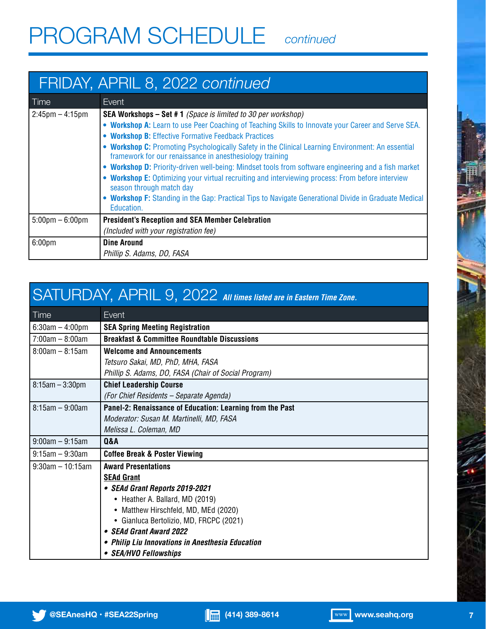### FRIDAY, APRIL 8, 2022 *continued*

| Time                              | Event                                                                                                                                                         |
|-----------------------------------|---------------------------------------------------------------------------------------------------------------------------------------------------------------|
| $2:45$ pm – 4:15pm                | <b>SEA Workshops - Set #1</b> (Space is limited to 30 per workshop)                                                                                           |
|                                   | . Workshop A: Learn to use Peer Coaching of Teaching Skills to Innovate your Career and Serve SEA.                                                            |
|                                   | • Workshop B: Effective Formative Feedback Practices                                                                                                          |
|                                   | . Workshop C: Promoting Psychologically Safety in the Clinical Learning Environment: An essential<br>framework for our renaissance in anesthesiology training |
|                                   | . Workshop D: Priority-driven well-being: Mindset tools from software engineering and a fish market                                                           |
|                                   | • Workshop E: Optimizing your virtual recruiting and interviewing process: From before interview<br>season through match day                                  |
|                                   | • Workshop F: Standing in the Gap: Practical Tips to Navigate Generational Divide in Graduate Medical<br>Education.                                           |
| $5:00 \text{pm} - 6:00 \text{pm}$ | <b>President's Reception and SEA Member Celebration</b>                                                                                                       |
|                                   | (Included with your registration fee)                                                                                                                         |
| 6:00 <sub>pm</sub>                | <b>Dine Around</b>                                                                                                                                            |
|                                   | Phillip S. Adams, DO, FASA                                                                                                                                    |

### SATURDAY, APRIL 9, 2022 *All times listed are in Eastern Time Zone.*

| Time                | Event                                                     |
|---------------------|-----------------------------------------------------------|
| $6:30am - 4:00pm$   | <b>SEA Spring Meeting Registration</b>                    |
| $7:00am - 8:00am$   | <b>Breakfast &amp; Committee Roundtable Discussions</b>   |
| $8:00am - 8:15am$   | <b>Welcome and Announcements</b>                          |
|                     | Tetsuro Sakai, MD, PhD, MHA, FASA                         |
|                     | Phillip S. Adams, DO, FASA (Chair of Social Program)      |
| $8:15am - 3:30pm$   | <b>Chief Leadership Course</b>                            |
|                     | (For Chief Residents - Separate Agenda)                   |
| $8:15am - 9:00am$   | Panel-2: Renaissance of Education: Learning from the Past |
|                     | Moderator: Susan M. Martinelli, MD, FASA                  |
|                     | Melissa L. Coleman, MD                                    |
| $9:00am - 9:15am$   | <b>Q&amp;A</b>                                            |
| $9:15$ am – 9:30am  | <b>Coffee Break &amp; Poster Viewing</b>                  |
| $9:30$ am - 10:15am | <b>Award Presentations</b>                                |
|                     | <b>SEAd Grant</b>                                         |
|                     | • SEAd Grant Reports 2019-2021                            |
|                     | • Heather A. Ballard, MD (2019)                           |
|                     | • Matthew Hirschfeld, MD, MEd (2020)                      |
|                     | • Gianluca Bertolizio, MD, FRCPC (2021)                   |
|                     | • SEAd Grant Award 2022                                   |
|                     | • Philip Liu Innovations in Anesthesia Education          |
|                     | • SEA/HVO Fellowships                                     |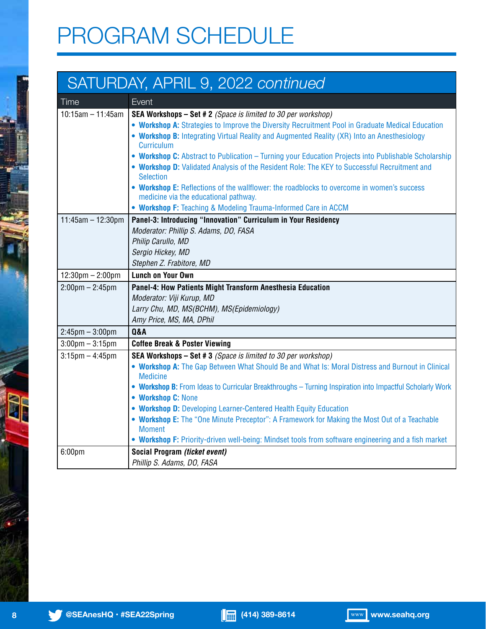## PROGRAM SCHEDULE

### SATURDAY, APRIL 9, 2022 *continued*

| Time                               | Event                                                                                                            |
|------------------------------------|------------------------------------------------------------------------------------------------------------------|
| $10:15am - 11:45am$                | SEA Workshops - Set # 2 (Space is limited to 30 per workshop)                                                    |
|                                    | . Workshop A: Strategies to Improve the Diversity Recruitment Pool in Graduate Medical Education                 |
|                                    | • Workshop B: Integrating Virtual Reality and Augmented Reality (XR) Into an Anesthesiology                      |
|                                    | <b>Curriculum</b>                                                                                                |
|                                    | • Workshop C: Abstract to Publication - Turning your Education Projects into Publishable Scholarship             |
|                                    | . Workshop D: Validated Analysis of the Resident Role: The KEY to Successful Recruitment and<br><b>Selection</b> |
|                                    | • Workshop E: Reflections of the wallflower: the roadblocks to overcome in women's success                       |
|                                    | medicine via the educational pathway.                                                                            |
|                                    | • Workshop F: Teaching & Modeling Trauma-Informed Care in ACCM                                                   |
| 11:45am - 12:30pm                  | Panel-3: Introducing "Innovation" Curriculum in Your Residency                                                   |
|                                    | Moderator: Phillip S. Adams, DO, FASA                                                                            |
|                                    | Philip Carullo, MD                                                                                               |
|                                    | Sergio Hickey, MD                                                                                                |
|                                    | Stephen Z. Frabitore, MD                                                                                         |
| $12:30 \text{pm} - 2:00 \text{pm}$ | <b>Lunch on Your Own</b>                                                                                         |
|                                    |                                                                                                                  |
| $2:00 \text{pm} - 2:45 \text{pm}$  | Panel-4: How Patients Might Transform Anesthesia Education                                                       |
|                                    | Moderator: Viji Kurup, MD                                                                                        |
|                                    | Larry Chu, MD, MS(BCHM), MS(Epidemiology)                                                                        |
|                                    | Amy Price, MS, MA, DPhil                                                                                         |
| $2:45$ pm $-3:00$ pm               | <b>Q&amp;A</b>                                                                                                   |
| $3:00$ pm $-3:15$ pm               | <b>Coffee Break &amp; Poster Viewing</b>                                                                         |
| $3:15$ pm $-4:45$ pm               | SEA Workshops - Set # 3 (Space is limited to 30 per workshop)                                                    |
|                                    | . Workshop A: The Gap Between What Should Be and What Is: Moral Distress and Burnout in Clinical                 |
|                                    | <b>Medicine</b>                                                                                                  |
|                                    | . Workshop B: From Ideas to Curricular Breakthroughs - Turning Inspiration into Impactful Scholarly Work         |
|                                    | • Workshop C: None<br>• Workshop D: Developing Learner-Centered Health Equity Education                          |
|                                    | . Workshop E: The "One Minute Preceptor": A Framework for Making the Most Out of a Teachable                     |
|                                    | <b>Moment</b>                                                                                                    |
|                                    | . Workshop F: Priority-driven well-being: Mindset tools from software engineering and a fish market              |
| 6:00 <sub>pm</sub>                 | Social Program (ticket event)                                                                                    |

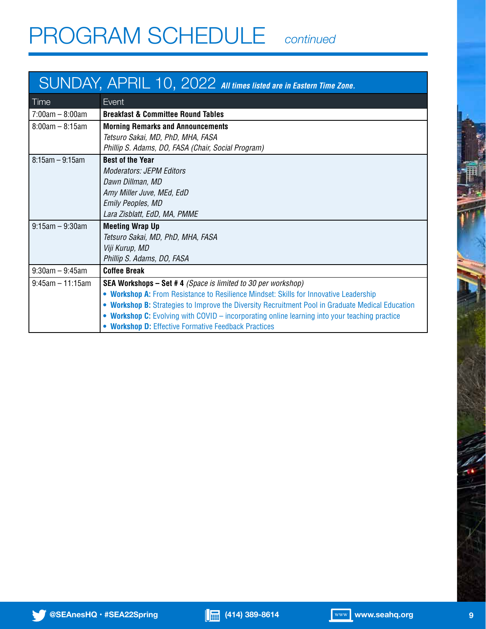## PROGRAM SCHEDULE *continued*

### SUNDAY, APRIL 10, 2022 *All times listed are in Eastern Time Zone.*

| Time                  | Event                                                                                            |
|-----------------------|--------------------------------------------------------------------------------------------------|
| $7:00am - 8:00am$     | <b>Breakfast &amp; Committee Round Tables</b>                                                    |
| $8:00am - 8:15am$     | <b>Morning Remarks and Announcements</b>                                                         |
|                       | Tetsuro Sakai, MD, PhD, MHA, FASA                                                                |
|                       | Phillip S. Adams, DO, FASA (Chair, Social Program)                                               |
| $8:15am - 9:15am$     | <b>Best of the Year</b>                                                                          |
|                       | <b>Moderators: JEPM Editors</b>                                                                  |
|                       | Dawn Dillman, MD                                                                                 |
|                       | Amy Miller Juve, MEd, EdD                                                                        |
|                       | <b>Emily Peoples, MD</b>                                                                         |
|                       | Lara Zisblatt, EdD, MA, PMME                                                                     |
| $9:15$ am – $9:30$ am | <b>Meeting Wrap Up</b>                                                                           |
|                       | Tetsuro Sakai, MD, PhD, MHA, FASA                                                                |
|                       | Viji Kurup, MD                                                                                   |
|                       | Phillip S. Adams, DO, FASA                                                                       |
| $9:30$ am - $9:45$ am | <b>Coffee Break</b>                                                                              |
| $9:45$ am - 11:15am   | <b>SEA Workshops – Set #4</b> (Space is limited to 30 per workshop)                              |
|                       | . Workshop A: From Resistance to Resilience Mindset: Skills for Innovative Leadership            |
|                       | • Workshop B: Strategies to Improve the Diversity Recruitment Pool in Graduate Medical Education |
|                       | • Workshop C: Evolving with COVID - incorporating online learning into your teaching practice    |
|                       | • Workshop D: Effective Formative Feedback Practices                                             |

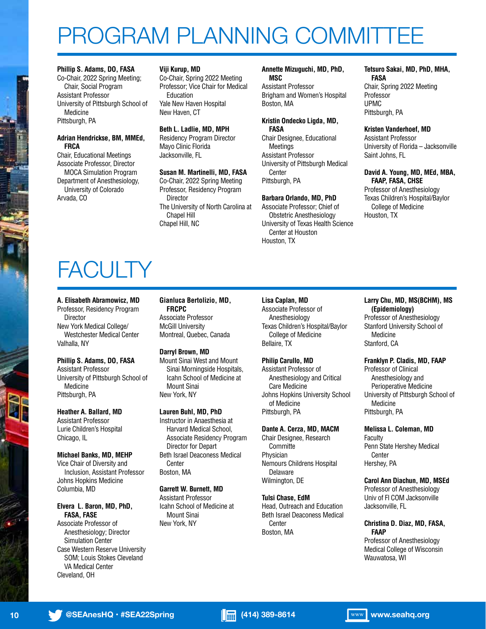## PROGRAM PLANNING COMMITTEE

### **Phillip S. Adams, DO, FASA**

Co-Chair, 2022 Spring Meeting; Chair, Social Program Assistant Professor University of Pittsburgh School of Medicine Pittsburgh, PA

#### **Adrian Hendrickse, BM, MMEd, FRCA**

Chair, Educational Meetings Associate Professor, Director MOCA Simulation Program Department of Anesthesiology, University of Colorado Arvada, CO

### **Viji Kurup, MD**

Co-Chair, Spring 2022 Meeting Professor; Vice Chair for Medical Education Yale New Haven Hospital New Haven, CT

### **Beth L. Ladlie, MD, MPH**

Residency Program Director Mayo Clinic Florida Jacksonville, FL

### **Susan M. Martinelli, MD, FASA**

Co-Chair, 2022 Spring Meeting Professor, Residency Program Director The University of North Carolina at Chapel Hill Chapel Hill, NC

#### **Annette Mizuguchi, MD, PhD, MSC**

Assistant Professor Brigham and Women's Hospital Boston, MA

#### **Kristin Ondecko Ligda, MD, FASA**

Chair Designee, Educational Meetings Assistant Professor University of Pittsburgh Medical Center Pittsburgh, PA

### **Barbara Orlando, MD, PhD**

Associate Professor; Chief of Obstetric Anesthesiology University of Texas Health Science Center at Houston Houston, TX

#### **Tetsuro Sakai, MD, PhD, MHA, FASA** Chair, Spring 2022 Meeting Professor UPMC Pittsburgh, PA

### **Kristen Vanderhoef, MD** Assistant Professor University of Florida – Jacksonville

Saint Johns, FL

### **David A. Young, MD, MEd, MBA, FAAP, FASA, CHSE**

Professor of Anesthesiology Texas Children's Hospital/Baylor College of Medicine Houston, TX

## **FACULTY**

### **A. Elisabeth Abramowicz, MD**

Professor, Residency Program **Director** New York Medical College/ Westchester Medical Center Valhalla, NY

### **Phillip S. Adams, DO, FASA**

Assistant Professor University of Pittsburgh School of Medicine Pittsburgh, PA

### **Heather A. Ballard, MD**

Assistant Professor Lurie Children's Hospital Chicago, IL

### **Michael Banks, MD, MEHP**

Vice Chair of Diversity and Inclusion, Assistant Professor Johns Hopkins Medicine Columbia, MD

### **Elvera L. Baron, MD, PhD, FASA, FASE**

Associate Professor of Anesthesiology; Director Simulation Center Case Western Reserve University SOM; Louis Stokes Cleveland VA Medical Center Cleveland, OH

**Gianluca Bertolizio, MD, FRCPC** Associate Professor McGill University Montreal, Quebec, Canada

### **Darryl Brown, MD**

Mount Sinai West and Mount Sinai Morningside Hospitals, Icahn School of Medicine at Mount Sinai New York, NY

### **Lauren Buhl, MD, PhD**

Instructor in Anaesthesia at Harvard Medical School, Associate Residency Program Director for Depart Beth Israel Deaconess Medical **Center** Boston, MA

### **Garrett W. Burnett, MD**

Assistant Professor Icahn School of Medicine at Mount Sinai New York, NY

### **Lisa Caplan, MD**

Associate Professor of Anesthesiology Texas Children's Hospital/Baylor College of Medicine Bellaire, TX

### **Philip Carullo, MD**

Assistant Professor of Anesthesiology and Critical Care Medicine Johns Hopkins University School of Medicine Pittsburgh, PA

### **Dante A. Cerza, MD, MACM**

Chair Designee, Research Committe Physician Nemours Childrens Hospital Delaware Wilmington, DE

### **Tulsi Chase, EdM**

Head, Outreach and Education Beth Israel Deaconess Medical Center Boston, MA

#### **Larry Chu, MD, MS(BCHM), MS (Epidemiology)** Professor of Anesthesiology Stanford University School of Medicine Stanford, CA

### **Franklyn P. Cladis, MD, FAAP**

Professor of Clinical Anesthesiology and Perioperative Medicine University of Pittsburgh School of Medicine Pittsburgh, PA

### **Melissa L. Coleman, MD**

Faculty Penn State Hershey Medical Center Hershey, PA

### **Carol Ann Diachun, MD, MSEd**

Professor of Anesthesiology Univ of Fl COM Jacksonville Jacksonville, FL

### **Christina D. Diaz, MD, FASA, FAAP**

Professor of Anesthesiology Medical College of Wisconsin Wauwatosa, WI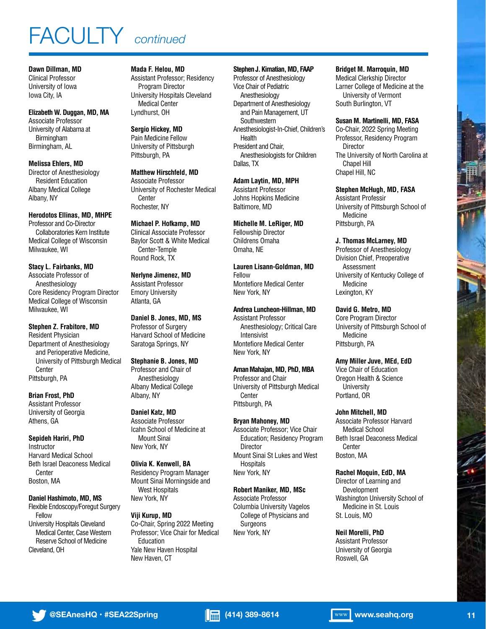### FACULTY *continued*

**Dawn Dillman, MD** Clinical Professor University of Iowa Iowa City, IA

**Elizabeth W. Duggan, MD, MA** Associate Professor University of Alabama at Birmingham Birmingham, AL

**Melissa Ehlers, MD** Director of Anesthesiology Resident Education Albany Medical College Albany, NY

#### **Herodotos Ellinas, MD, MHPE**

Professor and Co-Director Collaboratories Kern Institute Medical College of Wisconsin Milwaukee, WI

**Stacy L. Fairbanks, MD** Associate Professor of Anesthesiology Core Residency Program Director Medical College of Wisconsin Milwaukee, WI

**Stephen Z. Frabitore, MD** Resident Physician Department of Anesthesiology and Perioperative Medicine, University of Pittsburgh Medical **Center** Pittsburgh, PA

**Brian Frost, PhD** Assistant Professor University of Georgia Athens, GA

**Sepideh Hariri, PhD** Instructor Harvard Medical School Beth Israel Deaconess Medical **Center** Boston, MA

### **Daniel Hashimoto, MD, MS**

Flexible Endoscopy/Foregut Surgery Fellow University Hospitals Cleveland Medical Center, Case Western Reserve School of Medicine Cleveland, OH

**Mada F. Helou, MD** Assistant Professor; Residency Program Director University Hospitals Cleveland Medical Center Lyndhurst, OH

**Sergio Hickey, MD** Pain Medicine Fellow University of Pittsburgh Pittsburgh, PA

**Matthew Hirschfeld, MD** Associate Professor University of Rochester Medical Center Rochester, NY

**Michael P. Hofkamp, MD** Clinical Associate Professor Baylor Scott & White Medical Center-Temple Round Rock, TX

**Nerlyne Jimenez, MD** Assistant Professor Emory University Atlanta, GA

**Daniel B. Jones, MD, MS** Professor of Surgery Harvard School of Medicine Saratoga Springs, NY

**Stephanie B. Jones, MD** Professor and Chair of Anesthesiology Albany Medical College Albany, NY

**Daniel Katz, MD** Associate Professor Icahn School of Medicine at Mount Sinai New York, NY

### **Olivia K. Kenwell, BA** Residency Program Manager Mount Sinai Morningside and West Hospitals New York, NY

### **Viji Kurup, MD**

Co-Chair, Spring 2022 Meeting Professor; Vice Chair for Medical Education Yale New Haven Hospital New Haven, CT

### **Stephen J. Kimatian, MD, FAAP**

Professor of Anesthesiology Vice Chair of Pediatric Anesthesiology Department of Anesthesiology and Pain Management, UT **Southwestern** Anesthesiologist-In-Chief, Children's Health President and Chair, Anesthesiologists for Children Dallas, TX

**Adam Laytin, MD, MPH** Assistant Professor Johns Hopkins Medicine Baltimore, MD

**Michelle M. LeRiger, MD** Fellowship Director Childrens Omaha Omaha, NE

**Lauren Lisann-Goldman, MD** Fellow Montefiore Medical Center New York, NY

**Andrea Luncheon-Hillman, MD** Assistant Professor

Anesthesiology; Critical Care Intensivist Montefiore Medical Center New York, NY

**Aman Mahajan, MD, PhD, MBA** Professor and Chair University of Pittsburgh Medical Center Pittsburgh, PA

### **Bryan Mahoney, MD**

Associate Professor; Vice Chair Education; Residency Program Director Mount Sinai St Lukes and West Hospitals New York, NY

### **Robert Maniker, MD, MSc**

Associate Professor Columbia University Vagelos College of Physicians and Surgeons New York, NY

Assistant Professor Roswell, GA

**Bridget M. Marroquin, MD**

Medical Clerkship Director Larner College of Medicine at the University of Vermont South Burlington, VT

**Susan M. Martinelli, MD, FASA**

Co-Chair, 2022 Spring Meeting Professor, Residency Program Director The University of North Carolina at Chapel Hill Chapel Hill, NC

**Stephen McHugh, MD, FASA**

Assistant Professir University of Pittsburgh School of Medicine Pittsburgh, PA

**J. Thomas McLarney, MD**

Professor of Anesthesiology Division Chief, Preoperative Assessment University of Kentucky College of Medicine Lexington, KY

**David G. Metro, MD**

Core Program Director University of Pittsburgh School of Medicine Pittsburgh, PA

### **Amy Miller Juve, MEd, EdD**

Vice Chair of Education Oregon Health & Science **University** Portland, OR

### **John Mitchell, MD**

Associate Professor Harvard Medical School Beth Israel Deaconess Medical Center Boston, MA

### **Rachel Moquin, EdD, MA**

Director of Learning and Development Washington University School of Medicine in St. Louis St. Louis, MO

### **Neil Morelli, PhD**

University of Georgia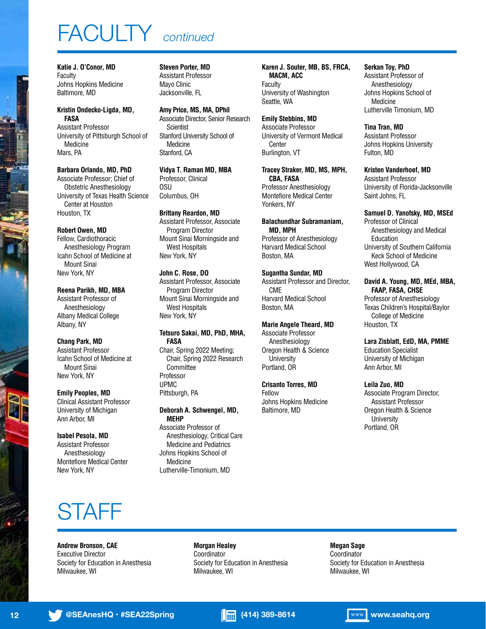## FACULTY *continued*

**Katie J. O'Conor, MD** Faculty Johns Hopkins Medicine Baltimore, MD

#### **Kristin Ondecko-Ligda, MD, FASA** Assistant Professor University of Pittsburgh School of Medicine Mars, PA

**Barbara Orlando, MD, PhD** Associate Professor; Chief of Obstetric Anesthesiology University of Texas Health Science Center at Houston Houston, TX

### **Robert Owen, MD** Fellow, Cardiothoracic Anesthesiology Program Icahn School of Medicine at Mount Sinai New York, NY

**Reena Parikh, MD, MBA** Assistant Professor of Anesthesiology Albany Medical College Albany, NY

**Chang Park, MD** Assistant Professor Icahn School of Medicine at Mount Sinai New York, NY

**Emily Peoples, MD** Clinical Assistant Professor University of Michigan Ann Arbor, MI

#### **Isabel Pesola, MD** Assistant Professor Anesthesiology Montefiore Medical Center New York, NY

**Steven Porter, MD**

Assistant Professor Mayo Clinic Jacksonville, FL

**Amy Price, MS, MA, DPhil** Associate Director, Senior Research **Scientist** Stanford University School of Medicine Stanford, CA

**Vidya T. Raman MD, MBA** Professor, Clinical OSU Columbus, OH

**Brittany Reardon, MD** Assistant Professor, Associate Program Director Mount Sinai Morningside and West Hospitals New York, NY

**John C. Rose, DO** Assistant Professor, Associate Program Director Mount Sinai Morningside and West Hospitals New York, NY

### **Tetsuro Sakai, MD, PhD, MHA, FASA**

Chair, Spring 2022 Meeting; Chair, Spring 2022 Research Committee Professor UPMC Pittsburgh, PA

### **Deborah A. Schwengel, MD,**

**MEHP** Associate Professor of Anesthesiology, Critical Care Medicine and Pediatrics Johns Hopkins School of Medicine Lutherville-Timonium, MD

**Karen J. Souter, MB, BS, FRCA, MACM, ACC Faculty** University of Washington Seattle, WA

**Emily Stebbins, MD** Associate Professor University of Vermont Medical Center Burlington, VT

**Tracey Straker, MD, MS, MPH, CBA, FASA** Professor Anesthesiology Montefiore Medical Center Yonkers, NY

**Balachundhar Subramaniam, MD, MPH** Professor of Anesthesiology Harvard Medical School Boston, MA

**Sugantha Sundar, MD** Assistant Professor and Director, CME Harvard Medical School Boston, MA

**Marie Angele Theard, MD** Associate Professor Anesthesiology Oregon Health & Science University Portland, OR

**Crisanto Torres, MD** Fellow Johns Hopkins Medicine Baltimore, MD

**Serkan Toy, PhD** Assistant Professor of Anesthesiology Johns Hopkins School of Medicine Lutherville Timonium, MD

**Tina Tran, MD** Assistant Professor Johns Hopkins University Fulton, MD

**Kristen Vanderhoef, MD** Assistant Professor University of Florida-Jacksonville Saint Johns, FL

**Samuel D. Yanofsky, MD, MSEd** Professor of Clinical Anesthesiology and Medical Education University of Southern California Keck School of Medicine West Hollywood, CA

**David A. Young, MD, MEd, MBA, FAAP, FASA, CHSE** Professor of Anesthesiology

Texas Children's Hospital/Baylor College of Medicine Houston, TX

**Lara Zisblatt, EdD, MA, PMME** Education Specialist University of Michigan Ann Arbor, MI

**Leila Zuo, MD** Associate Program Director, Assistant Professor Oregon Health & Science **University** Portland, OR

### STAFF

**Andrew Bronson, CAE** Executive Director Society for Education in Anesthesia Milwaukee, WI

**Morgan Healey** Coordinator Society for Education in Anesthesia Milwaukee, WI

**Megan Sage**

**Coordinator** Society for Education in Anesthesia Milwaukee, WI

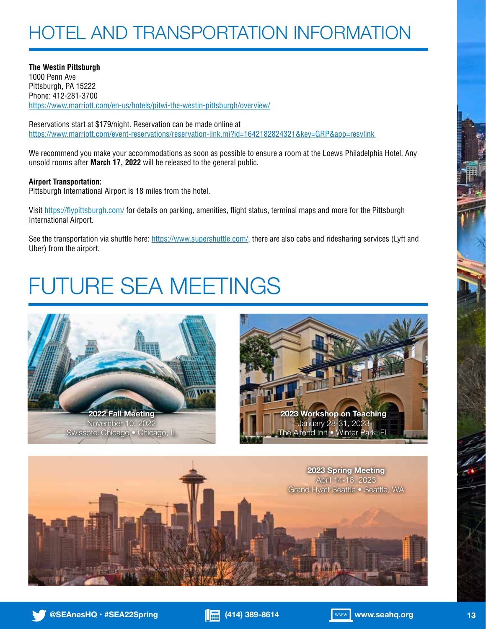### HOTEL AND TRANSPORTATION INFORMATION

**The Westin Pittsburgh** 1000 Penn Ave Pittsburgh, PA 15222 Phone: 412-281-3700 https://www.marriott.com/en-us/hotels/pitwi-the-westin-pittsburgh/overview/

Reservations start at \$179/night. Reservation can be made online at https://www.marriott.com/event-reservations/reservation-link.mi?id=1642182824321&key=GRP&app=resvlink

We recommend you make your accommodations as soon as possible to ensure a room at the Loews Philadelphia Hotel. Any unsold rooms after **March 17, 2022** will be released to the general public.

### **Airport Transportation:**

Pittsburgh International Airport is 18 miles from the hotel.

Visit https://flypittsburgh.com/ for details on parking, amenities, flight status, terminal maps and more for the Pittsburgh International Airport.

See the transportation via shuttle here: https://www.supershuttle.com/, there are also cabs and ridesharing services (Lyft and Uber) from the airport.

## FUTURE SEA MEETINGS









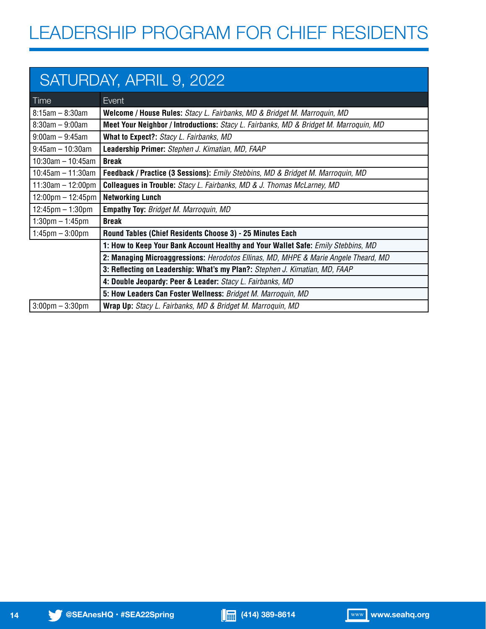### SATURDAY, APRIL 9, 2022

| Time                                | Event                                                                                        |
|-------------------------------------|----------------------------------------------------------------------------------------------|
| $8:15$ am – $8:30$ am               | Welcome / House Rules: Stacy L. Fairbanks, MD & Bridget M. Marroquin, MD                     |
| $8:30$ am – $9:00$ am               | <b>Meet Your Neighbor / Introductions:</b> Stacy L. Fairbanks, MD & Bridget M. Marroquin, MD |
| $9:00$ am – $9:45$ am               | What to Expect?: Stacy L. Fairbanks, MD                                                      |
| $9:45$ am - 10:30am                 | Leadership Primer: Stephen J. Kimatian, MD, FAAP                                             |
| $10:30$ am - 10:45am                | <b>Break</b>                                                                                 |
| 10:45am $-$ 11:30am                 | Feedback / Practice (3 Sessions): Emily Stebbins, MD & Bridget M. Marroquin, MD              |
| $11:30$ am - 12:00pm                | <b>Colleagues in Trouble:</b> Stacy L. Fairbanks, MD & J. Thomas McLarney, MD                |
| $12:00 \text{pm} - 12:45 \text{pm}$ | <b>Networking Lunch</b>                                                                      |
| $12:45 \text{pm} - 1:30 \text{pm}$  | <b>Empathy Toy: Bridget M. Marroquin, MD</b>                                                 |
| $1:30 \text{pm} - 1:45 \text{pm}$   | <b>Break</b>                                                                                 |
| $1:45$ pm $-3:00$ pm                | Round Tables (Chief Residents Choose 3) - 25 Minutes Each                                    |
|                                     | 1: How to Keep Your Bank Account Healthy and Your Wallet Safe: Emily Stebbins, MD            |
|                                     | 2: Managing Microaggressions: Herodotos Ellinas, MD, MHPE & Marie Angele Theard, MD          |
|                                     | 3: Reflecting on Leadership: What's my Plan?: Stephen J. Kimatian, MD, FAAP                  |
|                                     | 4: Double Jeopardy: Peer & Leader: Stacy L. Fairbanks, MD                                    |
|                                     | 5: How Leaders Can Foster Wellness: Bridget M. Marroquin, MD                                 |
| $3:00 \text{pm} - 3:30 \text{pm}$   | Wrap Up: Stacy L. Fairbanks, MD & Bridget M. Marroquin, MD                                   |

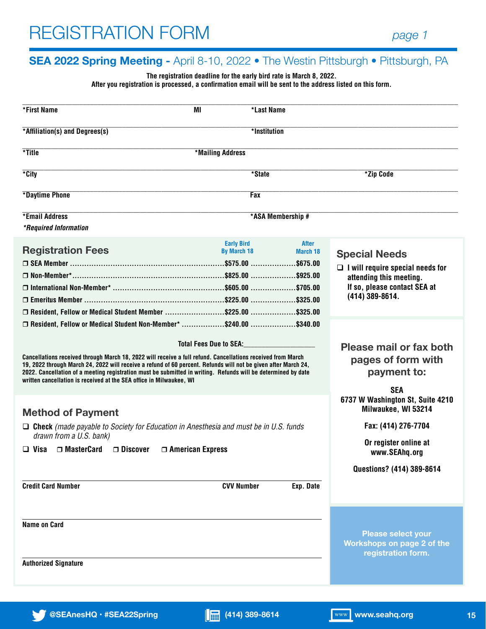### **SEA 2022 Spring Meeting -** April 8-10, 2022 • The Westin Pittsburgh • Pittsburgh, PA

### **The registration deadline for the early bird rate is March 8, 2022.**

**After you registration is processed, a confirmation email will be sent to the address listed on this form.**

| *First Name                                                                                                                                                                                                                                                                                                                                                                                                           | ΜI                                      | *Last Name               |                                                                               |
|-----------------------------------------------------------------------------------------------------------------------------------------------------------------------------------------------------------------------------------------------------------------------------------------------------------------------------------------------------------------------------------------------------------------------|-----------------------------------------|--------------------------|-------------------------------------------------------------------------------|
| *Affiliation(s) and Degrees(s)                                                                                                                                                                                                                                                                                                                                                                                        |                                         | *Institution             |                                                                               |
| *Title                                                                                                                                                                                                                                                                                                                                                                                                                | *Mailing Address                        |                          |                                                                               |
| *City                                                                                                                                                                                                                                                                                                                                                                                                                 |                                         | *State                   | *Zip Code                                                                     |
| *Daytime Phone                                                                                                                                                                                                                                                                                                                                                                                                        |                                         | Fax                      |                                                                               |
| *Email Address                                                                                                                                                                                                                                                                                                                                                                                                        |                                         | *ASA Membership #        |                                                                               |
| *Required Information                                                                                                                                                                                                                                                                                                                                                                                                 |                                         |                          |                                                                               |
| <b>Registration Fees</b>                                                                                                                                                                                                                                                                                                                                                                                              | <b>Early Bird</b><br><b>By March 18</b> | <b>After</b><br>March 18 | <b>Special Needs</b>                                                          |
| □ SEA Member …………………………………………………………………\$575.00 …………………\$675.00                                                                                                                                                                                                                                                                                                                                                        |                                         |                          | $\Box$ I will require special needs for                                       |
|                                                                                                                                                                                                                                                                                                                                                                                                                       |                                         |                          | attending this meeting.                                                       |
|                                                                                                                                                                                                                                                                                                                                                                                                                       |                                         |                          | If so, please contact SEA at                                                  |
|                                                                                                                                                                                                                                                                                                                                                                                                                       |                                         |                          | (414) 389-8614.                                                               |
| □ Resident, Fellow or Medical Student Member \$225.00 \$325.00                                                                                                                                                                                                                                                                                                                                                        |                                         |                          |                                                                               |
| O Resident, Fellow or Medical Student Non-Member* \$240.00 \$340.00                                                                                                                                                                                                                                                                                                                                                   |                                         |                          |                                                                               |
|                                                                                                                                                                                                                                                                                                                                                                                                                       | <b>Total Fees Due to SEA:</b>           |                          | Please mail or fax both                                                       |
| Cancellations received through March 18, 2022 will receive a full refund. Cancellations received from March<br>19, 2022 through March 24, 2022 will receive a refund of 60 percent. Refunds will not be given after March 24,<br>2022. Cancellation of a meeting registration must be submitted in writing. Refunds will be determined by date<br>written cancellation is received at the SEA office in Milwaukee, WI |                                         |                          | pages of form with<br>payment to:                                             |
|                                                                                                                                                                                                                                                                                                                                                                                                                       |                                         |                          | <b>SEA</b>                                                                    |
| <b>Method of Payment</b>                                                                                                                                                                                                                                                                                                                                                                                              |                                         |                          | 6737 W Washington St, Suite 4210<br>Milwaukee, WI 53214                       |
| $\Box$ Check (made payable to Society for Education in Anesthesia and must be in U.S. funds<br>drawn from a U.S. bank)                                                                                                                                                                                                                                                                                                |                                         |                          | Fax: (414) 276-7704                                                           |
| $\Box$ Visa $\Box$ MasterCard $\Box$ Discover $\Box$ American Express                                                                                                                                                                                                                                                                                                                                                 |                                         |                          | Or register online at<br>www.SEAhq.org                                        |
|                                                                                                                                                                                                                                                                                                                                                                                                                       |                                         |                          | Questions? (414) 389-8614                                                     |
| <b>Credit Card Number</b>                                                                                                                                                                                                                                                                                                                                                                                             | <b>CVV Number</b>                       | Exp. Date                |                                                                               |
|                                                                                                                                                                                                                                                                                                                                                                                                                       |                                         |                          |                                                                               |
| <b>Name on Card</b>                                                                                                                                                                                                                                                                                                                                                                                                   |                                         |                          | <b>Please select your</b><br>Workshops on page 2 of the<br>registration form. |
| <b>Authorized Signature</b>                                                                                                                                                                                                                                                                                                                                                                                           |                                         |                          |                                                                               |
|                                                                                                                                                                                                                                                                                                                                                                                                                       |                                         |                          |                                                                               |